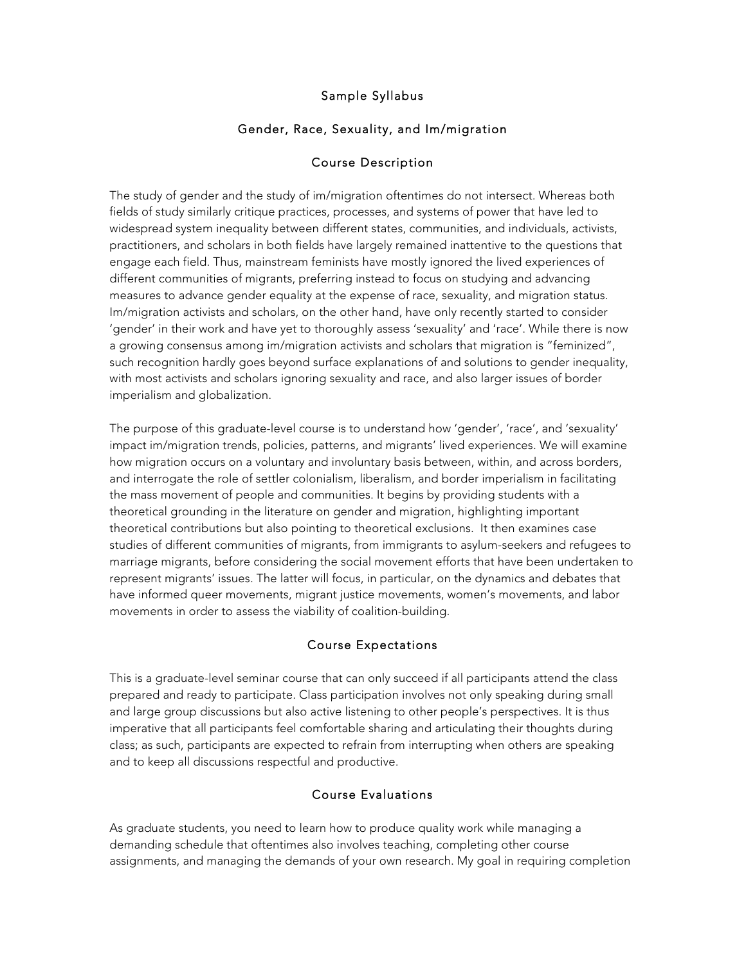# Sample Syllabus

# Gender, Race, Sexuality, and Im/migration

#### Course Description

The study of gender and the study of im/migration oftentimes do not intersect. Whereas both fields of study similarly critique practices, processes, and systems of power that have led to widespread system inequality between different states, communities, and individuals, activists, practitioners, and scholars in both fields have largely remained inattentive to the questions that engage each field. Thus, mainstream feminists have mostly ignored the lived experiences of different communities of migrants, preferring instead to focus on studying and advancing measures to advance gender equality at the expense of race, sexuality, and migration status. Im/migration activists and scholars, on the other hand, have only recently started to consider 'gender' in their work and have yet to thoroughly assess 'sexuality' and 'race'. While there is now a growing consensus among im/migration activists and scholars that migration is "feminized", such recognition hardly goes beyond surface explanations of and solutions to gender inequality, with most activists and scholars ignoring sexuality and race, and also larger issues of border imperialism and globalization.

The purpose of this graduate-level course is to understand how 'gender', 'race', and 'sexuality' impact im/migration trends, policies, patterns, and migrants' lived experiences. We will examine how migration occurs on a voluntary and involuntary basis between, within, and across borders, and interrogate the role of settler colonialism, liberalism, and border imperialism in facilitating the mass movement of people and communities. It begins by providing students with a theoretical grounding in the literature on gender and migration, highlighting important theoretical contributions but also pointing to theoretical exclusions. It then examines case studies of different communities of migrants, from immigrants to asylum-seekers and refugees to marriage migrants, before considering the social movement efforts that have been undertaken to represent migrants' issues. The latter will focus, in particular, on the dynamics and debates that have informed queer movements, migrant justice movements, women's movements, and labor movements in order to assess the viability of coalition-building.

## Course Expectations

This is a graduate-level seminar course that can only succeed if all participants attend the class prepared and ready to participate. Class participation involves not only speaking during small and large group discussions but also active listening to other people's perspectives. It is thus imperative that all participants feel comfortable sharing and articulating their thoughts during class; as such, participants are expected to refrain from interrupting when others are speaking and to keep all discussions respectful and productive.

## Course Evaluations

As graduate students, you need to learn how to produce quality work while managing a demanding schedule that oftentimes also involves teaching, completing other course assignments, and managing the demands of your own research. My goal in requiring completion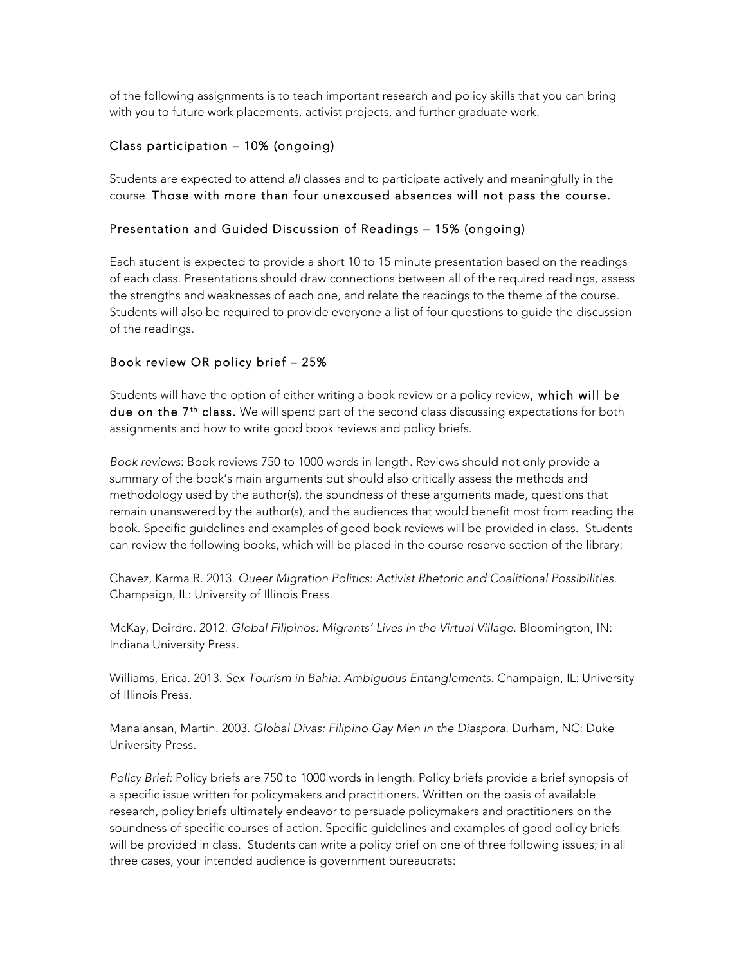of the following assignments is to teach important research and policy skills that you can bring with you to future work placements, activist projects, and further graduate work.

# Class participation – 10% (ongoing)

Students are expected to attend *all* classes and to participate actively and meaningfully in the course. Those with more than four unexcused absences will not pass the course.

## Presentation and Guided Discussion of Readings – 15% (ongoing)

Each student is expected to provide a short 10 to 15 minute presentation based on the readings of each class. Presentations should draw connections between all of the required readings, assess the strengths and weaknesses of each one, and relate the readings to the theme of the course. Students will also be required to provide everyone a list of four questions to guide the discussion of the readings.

## Book review OR policy brief – 25%

Students will have the option of either writing a book review or a policy review, which will be due on the  $7<sup>th</sup>$  class. We will spend part of the second class discussing expectations for both assignments and how to write good book reviews and policy briefs.

*Book reviews*: Book reviews 750 to 1000 words in length. Reviews should not only provide a summary of the book's main arguments but should also critically assess the methods and methodology used by the author(s), the soundness of these arguments made, questions that remain unanswered by the author(s), and the audiences that would benefit most from reading the book. Specific guidelines and examples of good book reviews will be provided in class. Students can review the following books, which will be placed in the course reserve section of the library:

Chavez, Karma R. 2013. *Queer Migration Politics: Activist Rhetoric and Coalitional Possibilities.*  Champaign, IL: University of Illinois Press.

McKay, Deirdre. 2012. *Global Filipinos: Migrants' Lives in the Virtual Village.* Bloomington, IN: Indiana University Press.

Williams, Erica. 2013. *Sex Tourism in Bahia: Ambiguous Entanglements.* Champaign, IL: University of Illinois Press.

Manalansan, Martin. 2003. *Global Divas: Filipino Gay Men in the Diaspora.* Durham, NC: Duke University Press.

*Policy Brief:* Policy briefs are 750 to 1000 words in length. Policy briefs provide a brief synopsis of a specific issue written for policymakers and practitioners. Written on the basis of available research, policy briefs ultimately endeavor to persuade policymakers and practitioners on the soundness of specific courses of action. Specific guidelines and examples of good policy briefs will be provided in class. Students can write a policy brief on one of three following issues; in all three cases, your intended audience is government bureaucrats: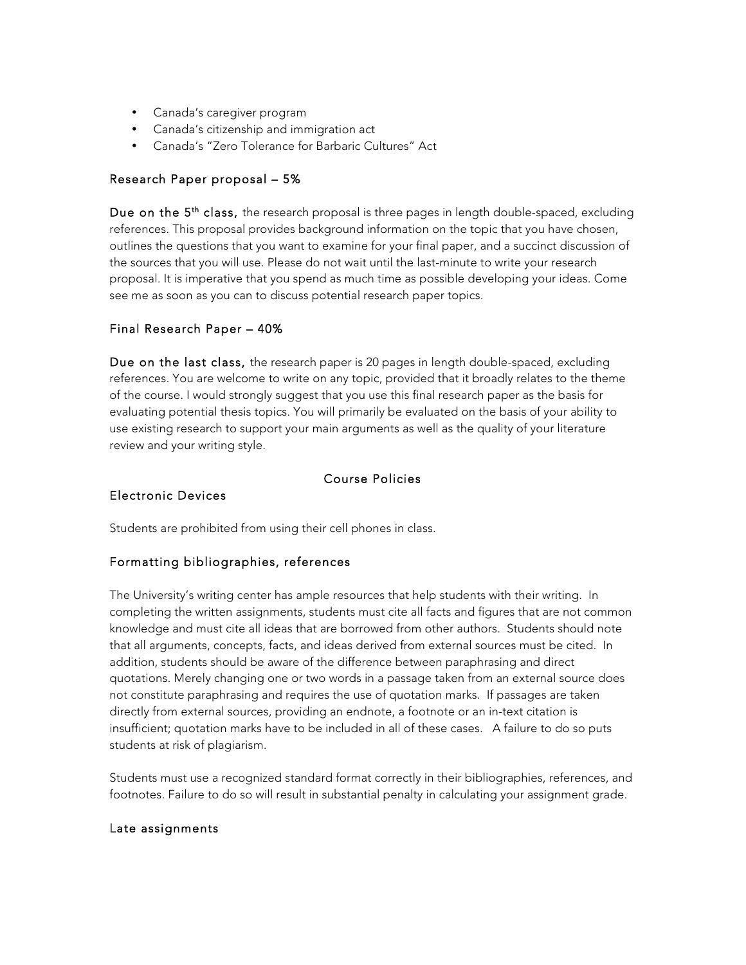- Canada's caregiver program
- Canada's citizenship and immigration act
- Canada's "Zero Tolerance for Barbaric Cultures" Act

## Research Paper proposal – 5%

Due on the  $5<sup>th</sup>$  class, the research proposal is three pages in length double-spaced, excluding references. This proposal provides background information on the topic that you have chosen, outlines the questions that you want to examine for your final paper, and a succinct discussion of the sources that you will use. Please do not wait until the last-minute to write your research proposal. It is imperative that you spend as much time as possible developing your ideas. Come see me as soon as you can to discuss potential research paper topics.

#### Final Research Paper – 40%

Due on the last class, the research paper is 20 pages in length double-spaced, excluding references. You are welcome to write on any topic, provided that it broadly relates to the theme of the course. I would strongly suggest that you use this final research paper as the basis for evaluating potential thesis topics. You will primarily be evaluated on the basis of your ability to use existing research to support your main arguments as well as the quality of your literature review and your writing style.

#### Course Policies

## Electronic Devices

Students are prohibited from using their cell phones in class.

## Formatting bibliographies, references

The University's writing center has ample resources that help students with their writing. In completing the written assignments, students must cite all facts and figures that are not common knowledge and must cite all ideas that are borrowed from other authors. Students should note that all arguments, concepts, facts, and ideas derived from external sources must be cited. In addition, students should be aware of the difference between paraphrasing and direct quotations. Merely changing one or two words in a passage taken from an external source does not constitute paraphrasing and requires the use of quotation marks. If passages are taken directly from external sources, providing an endnote, a footnote or an in-text citation is insufficient; quotation marks have to be included in all of these cases. A failure to do so puts students at risk of plagiarism.

Students must use a recognized standard format correctly in their bibliographies, references, and footnotes*.* Failure to do so will result in substantial penalty in calculating your assignment grade.

#### Late assignments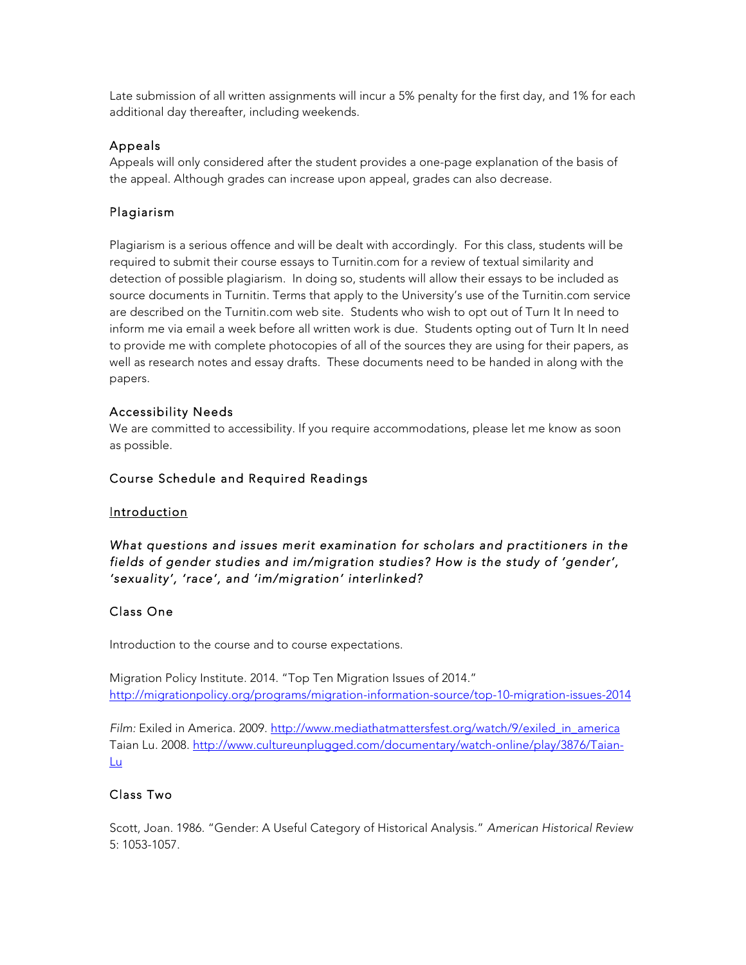Late submission of all written assignments will incur a 5% penalty for the first day, and 1% for each additional day thereafter, including weekends.

#### Appeals

Appeals will only considered after the student provides a one-page explanation of the basis of the appeal. Although grades can increase upon appeal, grades can also decrease.

# Plagiarism

Plagiarism is a serious offence and will be dealt with accordingly. For this class, students will be required to submit their course essays to Turnitin.com for a review of textual similarity and detection of possible plagiarism. In doing so, students will allow their essays to be included as source documents in Turnitin. Terms that apply to the University's use of the Turnitin.com service are described on the Turnitin.com web site. Students who wish to opt out of Turn It In need to inform me via email a week before all written work is due. Students opting out of Turn It In need to provide me with complete photocopies of all of the sources they are using for their papers, as well as research notes and essay drafts. These documents need to be handed in along with the papers.

## Accessibility Needs

We are committed to accessibility. If you require accommodations, please let me know as soon as possible.

#### Course Schedule and Required Readings

#### Introduction

# *What questions and issues merit examination for scholars and practitioners in the fields of gender studies and im/migration studies? How is the study of 'gender', 'sexuality', 'race', and 'im/migration' interlinked?*

## Class One

Introduction to the course and to course expectations.

Migration Policy Institute. 2014. "Top Ten Migration Issues of 2014." http://migrationpolicy.org/programs/migration-information-source/top-10-migration-issues-2014

*Film:* Exiled in America. 2009. http://www.mediathatmattersfest.org/watch/9/exiled\_in\_america Taian Lu. 2008. http://www.cultureunplugged.com/documentary/watch-online/play/3876/Taian-Lu

## Class Two

Scott, Joan. 1986. "Gender: A Useful Category of Historical Analysis." *American Historical Review* 5: 1053-1057.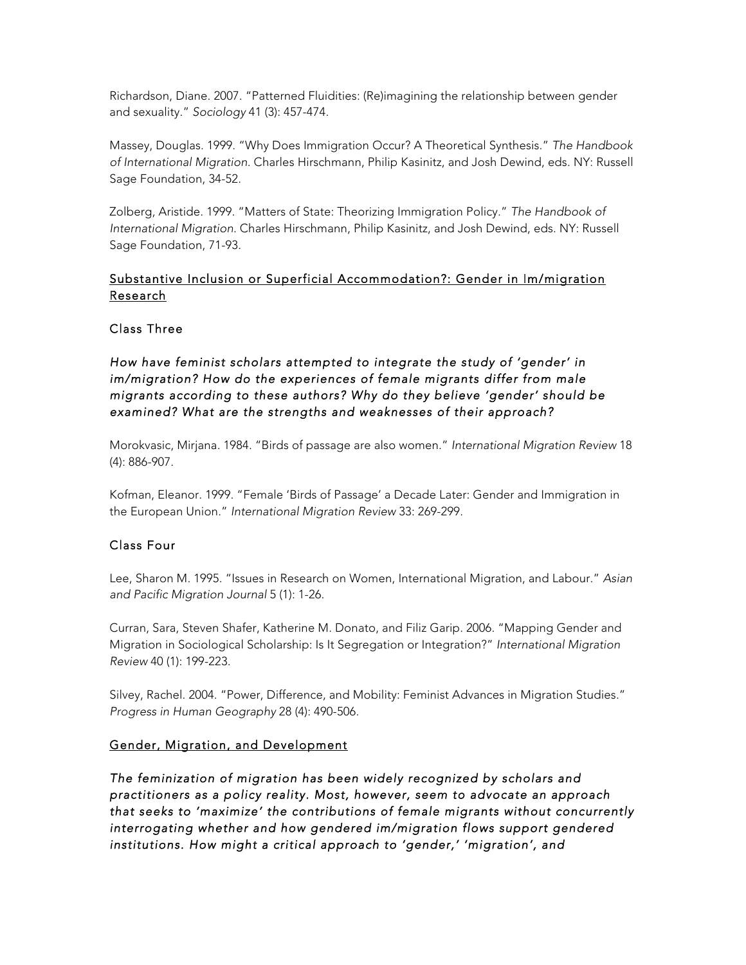Richardson, Diane. 2007. "Patterned Fluidities: (Re)imagining the relationship between gender and sexuality." *Sociology* 41 (3): 457-474.

Massey, Douglas. 1999. "Why Does Immigration Occur? A Theoretical Synthesis." *The Handbook of International Migration*. Charles Hirschmann, Philip Kasinitz, and Josh Dewind, eds. NY: Russell Sage Foundation, 34-52.

Zolberg, Aristide. 1999. "Matters of State: Theorizing Immigration Policy." *The Handbook of International Migration*. Charles Hirschmann, Philip Kasinitz, and Josh Dewind, eds. NY: Russell Sage Foundation, 71-93.

# Substantive Inclusion or Superficial Accommodation?: Gender in Im/migration Research

#### Class Three

*How have feminist scholars attempted to integrate the study of 'gender' in im/migration? How do the experiences of female migrants differ from male migrants according to these authors? Why do they believe 'gender' should be examined? What are the strengths and weaknesses of their approach?* 

Morokvasic, Mirjana. 1984. "Birds of passage are also women." *International Migration Review* 18 (4): 886-907.

Kofman, Eleanor. 1999. "Female 'Birds of Passage' a Decade Later: Gender and Immigration in the European Union." *International Migration Review* 33: 269-299.

#### Class Four

Lee, Sharon M. 1995. "Issues in Research on Women, International Migration, and Labour." *Asian and Pacific Migration Journal* 5 (1): 1-26.

Curran, Sara, Steven Shafer, Katherine M. Donato, and Filiz Garip. 2006. "Mapping Gender and Migration in Sociological Scholarship: Is It Segregation or Integration?" *International Migration Review* 40 (1): 199-223.

Silvey, Rachel. 2004. "Power, Difference, and Mobility: Feminist Advances in Migration Studies." *Progress in Human Geography* 28 (4): 490-506.

#### Gender, Migration, and Development

*The feminization of migration has been widely recognized by scholars and practitioners as a policy reality. Most, however, seem to advocate an approach that seeks to 'maximize' the contributions of female migrants without concurrently interrogating whether and how gendered im/migration flows support gendered institutions. How might a critical approach to 'gender,' 'migration', and*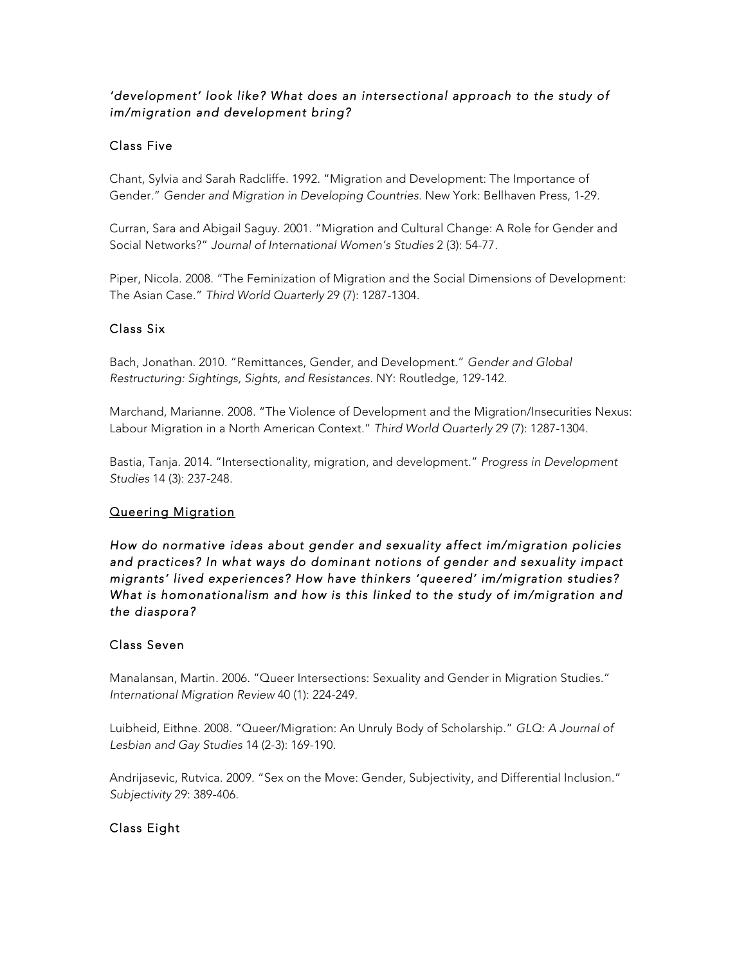# *'development' look like? What does an intersectional approach to the study of im/migration and development bring?*

# Class Five

Chant, Sylvia and Sarah Radcliffe. 1992. "Migration and Development: The Importance of Gender." *Gender and Migration in Developing Countries*. New York: Bellhaven Press, 1-29.

Curran, Sara and Abigail Saguy. 2001. "Migration and Cultural Change: A Role for Gender and Social Networks?" *Journal of International Women's Studies* 2 (3): 54-77.

Piper, Nicola. 2008. "The Feminization of Migration and the Social Dimensions of Development: The Asian Case." *Third World Quarterly* 29 (7): 1287-1304.

## Class Six

Bach, Jonathan. 2010. "Remittances, Gender, and Development." *Gender and Global Restructuring: Sightings, Sights, and Resistances*. NY: Routledge, 129-142.

Marchand, Marianne. 2008. "The Violence of Development and the Migration/Insecurities Nexus: Labour Migration in a North American Context." *Third World Quarterly* 29 (7): 1287-1304.

Bastia, Tanja. 2014. "Intersectionality, migration, and development." *Progress in Development Studies* 14 (3): 237-248.

## Queering Migration

*How do normative ideas about gender and sexuality affect im/migration policies and practices? In what ways do dominant notions of gender and sexuality impact migrants' lived experiences? How have thinkers 'queered' im/migration studies? What is homonationalism and how is this linked to the study of im/migration and the diaspora?* 

# Class Seven

Manalansan, Martin. 2006. "Queer Intersections: Sexuality and Gender in Migration Studies." *International Migration Review* 40 (1): 224-249.

Luibheid, Eithne. 2008. "Queer/Migration: An Unruly Body of Scholarship." *GLQ: A Journal of Lesbian and Gay Studies* 14 (2-3): 169-190.

Andrijasevic, Rutvica. 2009. "Sex on the Move: Gender, Subjectivity, and Differential Inclusion." *Subjectivity* 29: 389-406.

## Class Eight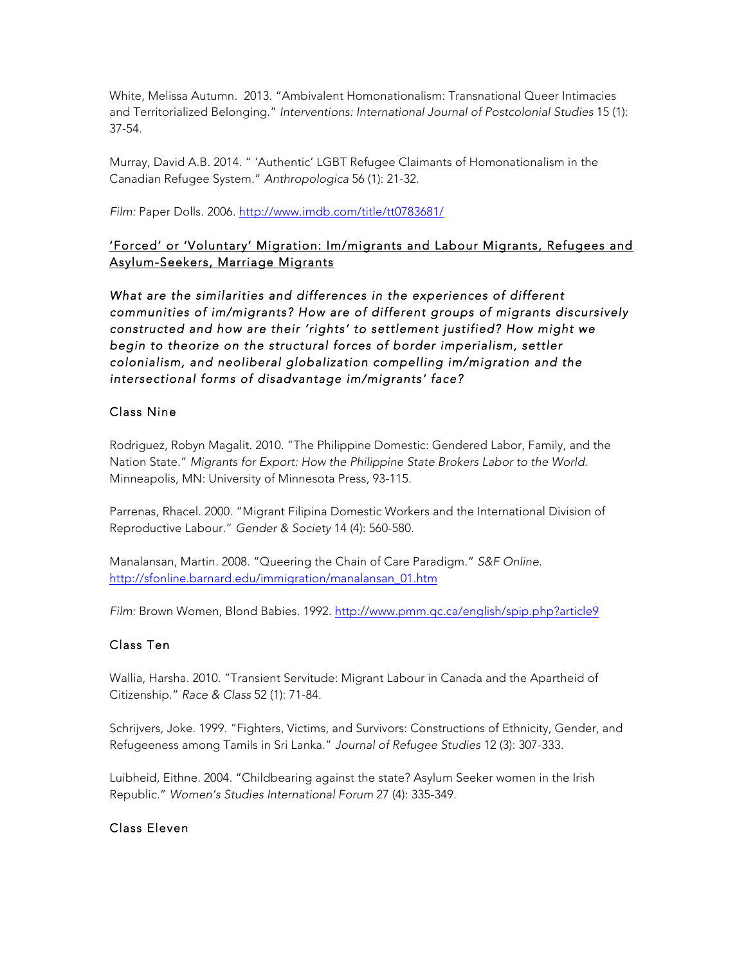White, Melissa Autumn. 2013. "Ambivalent Homonationalism: Transnational Queer Intimacies and Territorialized Belonging." *Interventions: International Journal of Postcolonial Studies* 15 (1): 37-54.

Murray, David A.B. 2014. " 'Authentic' LGBT Refugee Claimants of Homonationalism in the Canadian Refugee System." *Anthropologica* 56 (1): 21-32.

*Film:* Paper Dolls. 2006. http://www.imdb.com/title/tt0783681/

# 'Forced' or 'Voluntary' Migration: Im/migrants and Labour Migrants, Refugees and Asylum-Seekers, Marriage Migrants

*What are the similarities and differences in the experiences of different communities of im/migrants? How are of different groups of migrants discursively constructed and how are their 'rights' to settlement justified? How might we begin to theorize on the structural forces of border imperialism, settler colonialism, and neoliberal globalization compelling im/migration and the intersectional forms of disadvantage im/migrants' face?* 

## Class Nine

Rodriguez, Robyn Magalit. 2010. "The Philippine Domestic: Gendered Labor, Family, and the Nation State." *Migrants for Export: How the Philippine State Brokers Labor to the World.*  Minneapolis, MN: University of Minnesota Press, 93-115.

Parrenas, Rhacel. 2000. "Migrant Filipina Domestic Workers and the International Division of Reproductive Labour." *Gender & Society* 14 (4): 560-580.

Manalansan, Martin. 2008. "Queering the Chain of Care Paradigm." *S&F Online*. http://sfonline.barnard.edu/immigration/manalansan\_01.htm

*Film:* Brown Women, Blond Babies. 1992. http://www.pmm.qc.ca/english/spip.php?article9

#### Class Ten

Wallia, Harsha. 2010. "Transient Servitude: Migrant Labour in Canada and the Apartheid of Citizenship." *Race & Class* 52 (1): 71-84.

Schrijvers, Joke. 1999. "Fighters, Victims, and Survivors: Constructions of Ethnicity, Gender, and Refugeeness among Tamils in Sri Lanka." *Journal of Refugee Studies* 12 (3): 307-333.

Luibheid, Eithne. 2004. "Childbearing against the state? Asylum Seeker women in the Irish Republic." *Women's Studies International Forum* 27 (4): 335-349.

#### Class Eleven